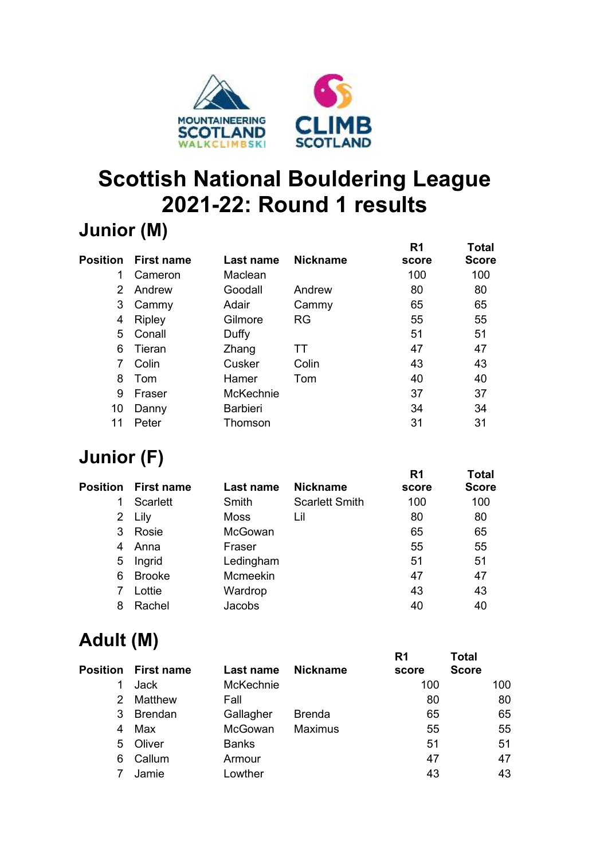

# **Scottish National Bouldering League 2021-22: Round 1 results**

#### **Junior (M)**

|                 |                   |                 |                 | R <sub>1</sub> | <b>Total</b> |
|-----------------|-------------------|-----------------|-----------------|----------------|--------------|
| <b>Position</b> | <b>First name</b> | Last name       | <b>Nickname</b> | score          | <b>Score</b> |
|                 | Cameron           | Maclean         |                 | 100            | 100          |
| 2               | Andrew            | Goodall         | Andrew          | 80             | 80           |
| 3               | Cammy             | Adair           | Cammy           | 65             | 65           |
| 4               | Ripley            | Gilmore         | <b>RG</b>       | 55             | 55           |
| 5               | Conall            | Duffy           |                 | 51             | 51           |
| 6               | Tieran            | Zhang           | TТ              | 47             | 47           |
| 7               | Colin             | Cusker          | Colin           | 43             | 43           |
| 8               | Tom               | Hamer           | Tom             | 40             | 40           |
| 9               | Fraser            | McKechnie       |                 | 37             | 37           |
| 10              | Danny             | <b>Barbieri</b> |                 | 34             | 34           |
| 11              | Peter             | Thomson         |                 | 31             | 31           |
|                 |                   |                 |                 |                |              |

# **Junior (F)**

|          |                   |             |                       | R <sub>1</sub> | <b>Total</b> |
|----------|-------------------|-------------|-----------------------|----------------|--------------|
| Position | <b>First name</b> | Last name   | <b>Nickname</b>       | score          | <b>Score</b> |
|          | Scarlett          | Smith       | <b>Scarlett Smith</b> | 100            | 100          |
|          | 2 Lily            | <b>Moss</b> | Lil                   | 80             | 80           |
| 3        | Rosie             | McGowan     |                       | 65             | 65           |
| 4        | Anna              | Fraser      |                       | 55             | 55           |
| 5        | Ingrid            | Ledingham   |                       | 51             | 51           |
| 6        | <b>Brooke</b>     | Mcmeekin    |                       | 47             | 47           |
|          | Lottie            | Wardrop     |                       | 43             | 43           |
| 8        | Rachel            | Jacobs      |                       | 40             | 40           |
|          |                   |             |                       |                |              |

#### **Adult (M)**

|    | <b>Position</b> First name | Last name    | <b>Nickname</b> | R1<br>score | <b>Total</b><br><b>Score</b> |     |
|----|----------------------------|--------------|-----------------|-------------|------------------------------|-----|
|    | Jack                       | McKechnie    |                 | 100         |                              | 100 |
| 2. | Matthew                    | Fall         |                 | 80          |                              | 80  |
| 3  | <b>Brendan</b>             | Gallagher    | <b>Brenda</b>   | 65          |                              | 65  |
| 4  | Max                        | McGowan      | <b>Maximus</b>  | 55          |                              | 55  |
| 5  | Oliver                     | <b>Banks</b> |                 | 51          |                              | 51  |
| 6  | Callum                     | Armour       |                 | 47          |                              | 47  |
|    | Jamie                      | Lowther      |                 | 43          |                              | 43  |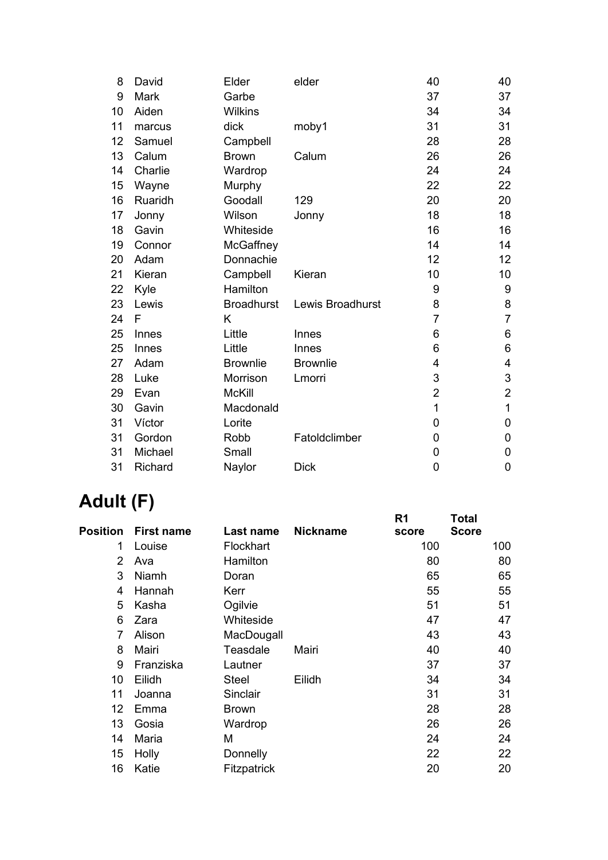| David          | Elder             | elder            | 40             | 40                        |
|----------------|-------------------|------------------|----------------|---------------------------|
| Mark           | Garbe             |                  | 37             | 37                        |
| Aiden          | <b>Wilkins</b>    |                  | 34             | 34                        |
| marcus         | dick              | moby1            | 31             | 31                        |
| Samuel         | Campbell          |                  | 28             | 28                        |
| Calum          | <b>Brown</b>      | Calum            | 26             | 26                        |
| Charlie        | Wardrop           |                  | 24             | 24                        |
| Wayne          | Murphy            |                  | 22             | 22                        |
| Ruaridh        | Goodall           | 129              | 20             | 20                        |
| Jonny          | Wilson            | Jonny            | 18             | 18                        |
| Gavin          | Whiteside         |                  | 16             | 16                        |
| Connor         | McGaffney         |                  | 14             | 14                        |
| Adam           | Donnachie         |                  | 12             | 12                        |
| Kieran         | Campbell          | Kieran           | 10             | 10                        |
| Kyle           | Hamilton          |                  | 9              | $\boldsymbol{9}$          |
| Lewis          | <b>Broadhurst</b> | Lewis Broadhurst | 8              | 8                         |
| F              | K                 |                  | $\overline{7}$ | $\overline{7}$            |
| Innes          | Little            | Innes            | 6              | 6                         |
| Innes          | Little            | Innes            | 6              | $\,6$                     |
| Adam           | <b>Brownlie</b>   | <b>Brownlie</b>  | 4              | 4                         |
| Luke           | Morrison          | Lmorri           | 3              | $\ensuremath{\mathsf{3}}$ |
| Evan           | <b>McKill</b>     |                  | $\overline{2}$ | $\mathbf 2$               |
| Gavin          | Macdonald         |                  | $\mathbf 1$    | $\mathbf{1}$              |
| Víctor         | Lorite            |                  | 0              | 0                         |
| Gordon         | Robb              | Fatoldclimber    | 0              | 0                         |
| Michael        | Small             |                  | 0              | 0                         |
| <b>Richard</b> | Naylor            | <b>Dick</b>      | 0              | 0                         |
|                |                   |                  |                |                           |

# **Adult (F)**

|                 |                   |              |                 | R <sub>1</sub> | <b>Total</b> |     |
|-----------------|-------------------|--------------|-----------------|----------------|--------------|-----|
| <b>Position</b> | <b>First name</b> | Last name    | <b>Nickname</b> | score          | <b>Score</b> |     |
| 1               | Louise            | Flockhart    |                 | 100            |              | 100 |
| 2               | Ava               | Hamilton     |                 | 80             |              | 80  |
| 3               | Niamh             | Doran        |                 | 65             |              | 65  |
| 4               | Hannah            | Kerr         |                 | 55             |              | 55  |
| 5               | Kasha             | Ogilvie      |                 | 51             |              | 51  |
| 6               | Zara              | Whiteside    |                 | 47             |              | 47  |
| 7               | Alison            | MacDougall   |                 | 43             |              | 43  |
| 8               | Mairi             | Teasdale     | Mairi           | 40             |              | 40  |
| 9               | Franziska         | Lautner      |                 | 37             |              | 37  |
| 10              | Eilidh            | <b>Steel</b> | Eilidh          | 34             |              | 34  |
| 11              | Joanna            | Sinclair     |                 | 31             |              | 31  |
| 12              | Emma              | <b>Brown</b> |                 | 28             |              | 28  |
| 13              | Gosia             | Wardrop      |                 | 26             |              | 26  |
| 14              | Maria             | M            |                 | 24             |              | 24  |
| 15              | Holly             | Donnelly     |                 | 22             |              | 22  |
| 16              | Katie             | Fitzpatrick  |                 | 20             |              | 20  |